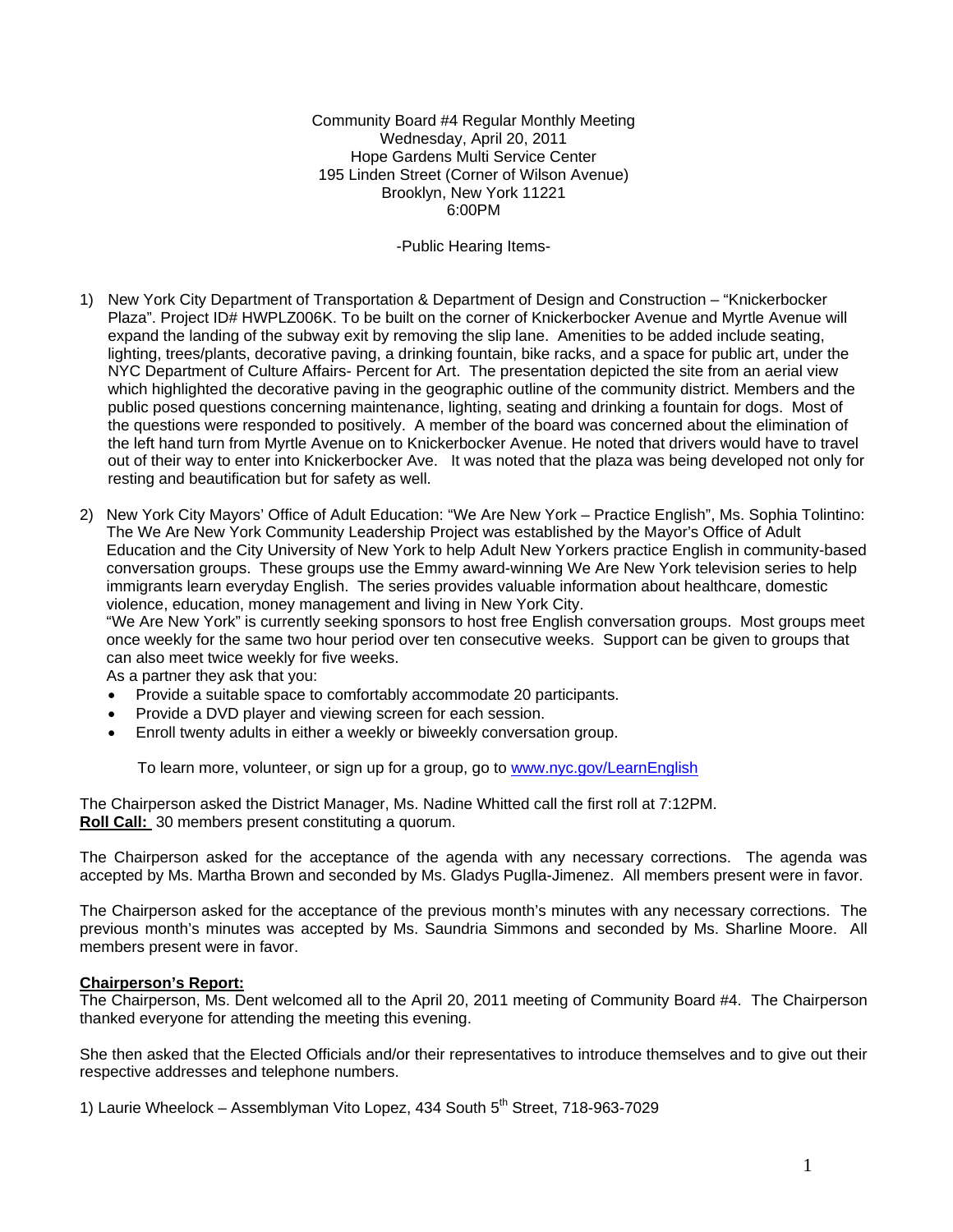Community Board #4 Regular Monthly Meeting Wednesday, April 20, 2011 Hope Gardens Multi Service Center 195 Linden Street (Corner of Wilson Avenue) Brooklyn, New York 11221 6:00PM

-Public Hearing Items-

- 1) New York City Department of Transportation & Department of Design and Construction "Knickerbocker Plaza". Project ID# HWPLZ006K. To be built on the corner of Knickerbocker Avenue and Myrtle Avenue will expand the landing of the subway exit by removing the slip lane. Amenities to be added include seating, lighting, trees/plants, decorative paving, a drinking fountain, bike racks, and a space for public art, under the NYC Department of Culture Affairs- Percent for Art. The presentation depicted the site from an aerial view which highlighted the decorative paving in the geographic outline of the community district. Members and the public posed questions concerning maintenance, lighting, seating and drinking a fountain for dogs. Most of the questions were responded to positively. A member of the board was concerned about the elimination of the left hand turn from Myrtle Avenue on to Knickerbocker Avenue. He noted that drivers would have to travel out of their way to enter into Knickerbocker Ave. It was noted that the plaza was being developed not only for resting and beautification but for safety as well.
- 2) New York City Mayors' Office of Adult Education: "We Are New York Practice English", Ms. Sophia Tolintino: The We Are New York Community Leadership Project was established by the Mayor's Office of Adult Education and the City University of New York to help Adult New Yorkers practice English in community-based conversation groups. These groups use the Emmy award-winning We Are New York television series to help immigrants learn everyday English. The series provides valuable information about healthcare, domestic violence, education, money management and living in New York City.

"We Are New York" is currently seeking sponsors to host free English conversation groups. Most groups meet once weekly for the same two hour period over ten consecutive weeks. Support can be given to groups that can also meet twice weekly for five weeks.

As a partner they ask that you:

- Provide a suitable space to comfortably accommodate 20 participants.
- Provide a DVD player and viewing screen for each session.
- Enroll twenty adults in either a weekly or biweekly conversation group.

To learn more, volunteer, or sign up for a group, go to [www.nyc.gov/LearnEnglish](http://www.nyc.gov/LearnEnglish) 

The Chairperson asked the District Manager, Ms. Nadine Whitted call the first roll at 7:12PM. **Roll Call:** 30 members present constituting a quorum.

The Chairperson asked for the acceptance of the agenda with any necessary corrections. The agenda was accepted by Ms. Martha Brown and seconded by Ms. Gladys Puglla-Jimenez. All members present were in favor.

The Chairperson asked for the acceptance of the previous month's minutes with any necessary corrections. The previous month's minutes was accepted by Ms. Saundria Simmons and seconded by Ms. Sharline Moore. All members present were in favor.

### **Chairperson's Report:**

The Chairperson, Ms. Dent welcomed all to the April 20, 2011 meeting of Community Board #4. The Chairperson thanked everyone for attending the meeting this evening.

She then asked that the Elected Officials and/or their representatives to introduce themselves and to give out their respective addresses and telephone numbers.

1) Laurie Wheelock – Assemblyman Vito Lopez, 434 South  $5<sup>th</sup>$  Street, 718-963-7029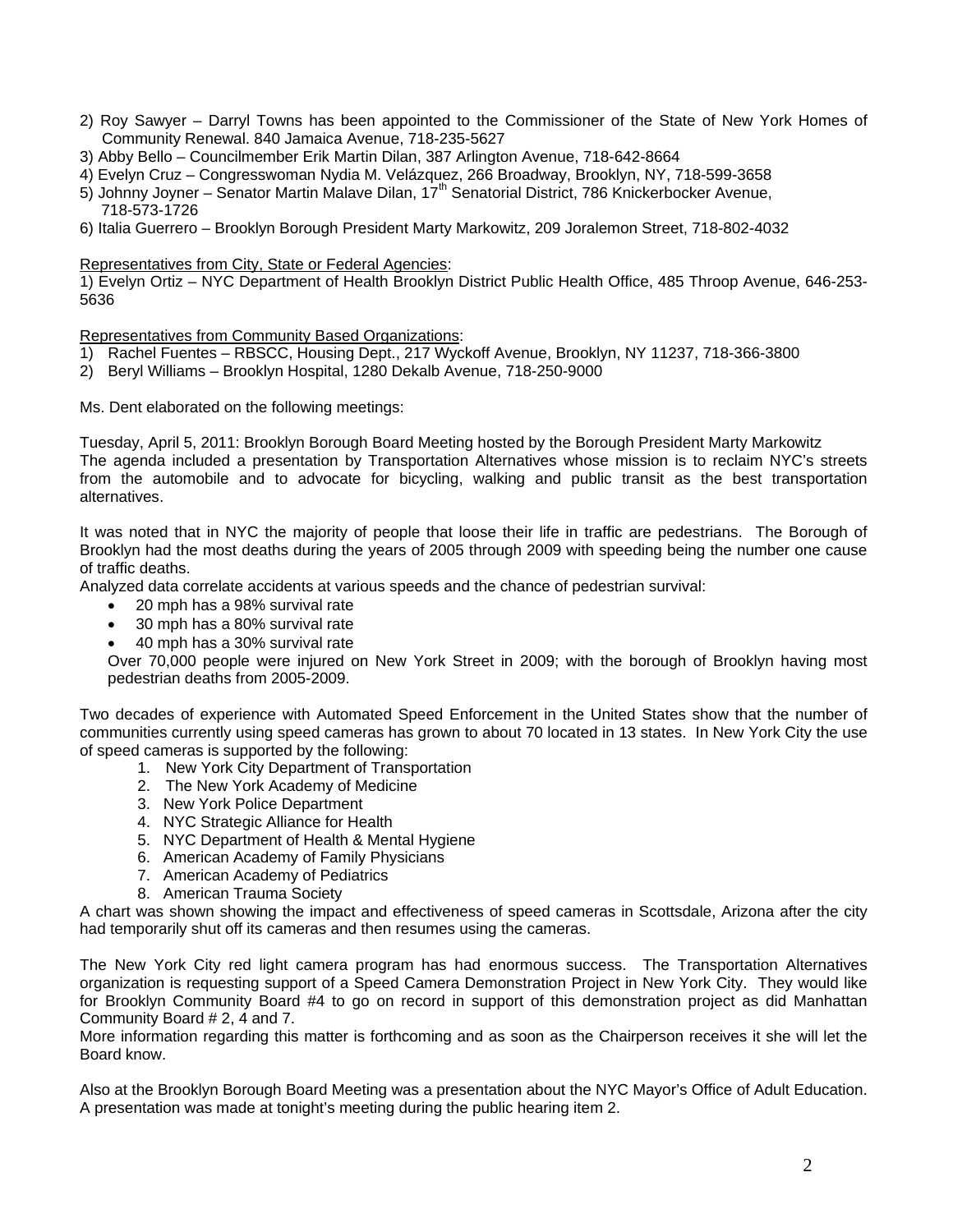- 2) Roy Sawyer Darryl Towns has been appointed to the Commissioner of the State of New York Homes of Community Renewal. 840 Jamaica Avenue, 718-235-5627
- 3) Abby Bello Councilmember Erik Martin Dilan, 387 Arlington Avenue, 718-642-8664
- 4) Evelyn Cruz Congresswoman Nydia M. Velázquez, 266 Broadway, Brooklyn, NY, 718-599-3658
- 5) Johnny Joyner Senator Martin Malave Dilan, 17<sup>th</sup> Senatorial District, 786 Knickerbocker Avenue, 718-573-1726
- 6) Italia Guerrero Brooklyn Borough President Marty Markowitz, 209 Joralemon Street, 718-802-4032

Representatives from City, State or Federal Agencies:

1) Evelyn Ortiz – NYC Department of Health Brooklyn District Public Health Office, 485 Throop Avenue, 646-253- 5636

Representatives from Community Based Organizations:

- 1) Rachel Fuentes RBSCC, Housing Dept., 217 Wyckoff Avenue, Brooklyn, NY 11237, 718-366-3800
- 2) Beryl Williams Brooklyn Hospital, 1280 Dekalb Avenue, 718-250-9000

Ms. Dent elaborated on the following meetings:

Tuesday, April 5, 2011: Brooklyn Borough Board Meeting hosted by the Borough President Marty Markowitz The agenda included a presentation by Transportation Alternatives whose mission is to reclaim NYC's streets from the automobile and to advocate for bicycling, walking and public transit as the best transportation alternatives.

It was noted that in NYC the majority of people that loose their life in traffic are pedestrians. The Borough of Brooklyn had the most deaths during the years of 2005 through 2009 with speeding being the number one cause of traffic deaths.

Analyzed data correlate accidents at various speeds and the chance of pedestrian survival:

- 20 mph has a 98% survival rate
- 30 mph has a 80% survival rate
- 40 mph has a 30% survival rate

Over 70,000 people were injured on New York Street in 2009; with the borough of Brooklyn having most pedestrian deaths from 2005-2009.

Two decades of experience with Automated Speed Enforcement in the United States show that the number of communities currently using speed cameras has grown to about 70 located in 13 states. In New York City the use of speed cameras is supported by the following:

- 1. New York City Department of Transportation
- 2. The New York Academy of Medicine
- 3. New York Police Department
- 4. NYC Strategic Alliance for Health
- 5. NYC Department of Health & Mental Hygiene
- 6. American Academy of Family Physicians
- 7. American Academy of Pediatrics
- 8. American Trauma Society

A chart was shown showing the impact and effectiveness of speed cameras in Scottsdale, Arizona after the city had temporarily shut off its cameras and then resumes using the cameras.

The New York City red light camera program has had enormous success. The Transportation Alternatives organization is requesting support of a Speed Camera Demonstration Project in New York City. They would like for Brooklyn Community Board #4 to go on record in support of this demonstration project as did Manhattan Community Board # 2, 4 and 7.

More information regarding this matter is forthcoming and as soon as the Chairperson receives it she will let the Board know.

Also at the Brooklyn Borough Board Meeting was a presentation about the NYC Mayor's Office of Adult Education. A presentation was made at tonight's meeting during the public hearing item 2.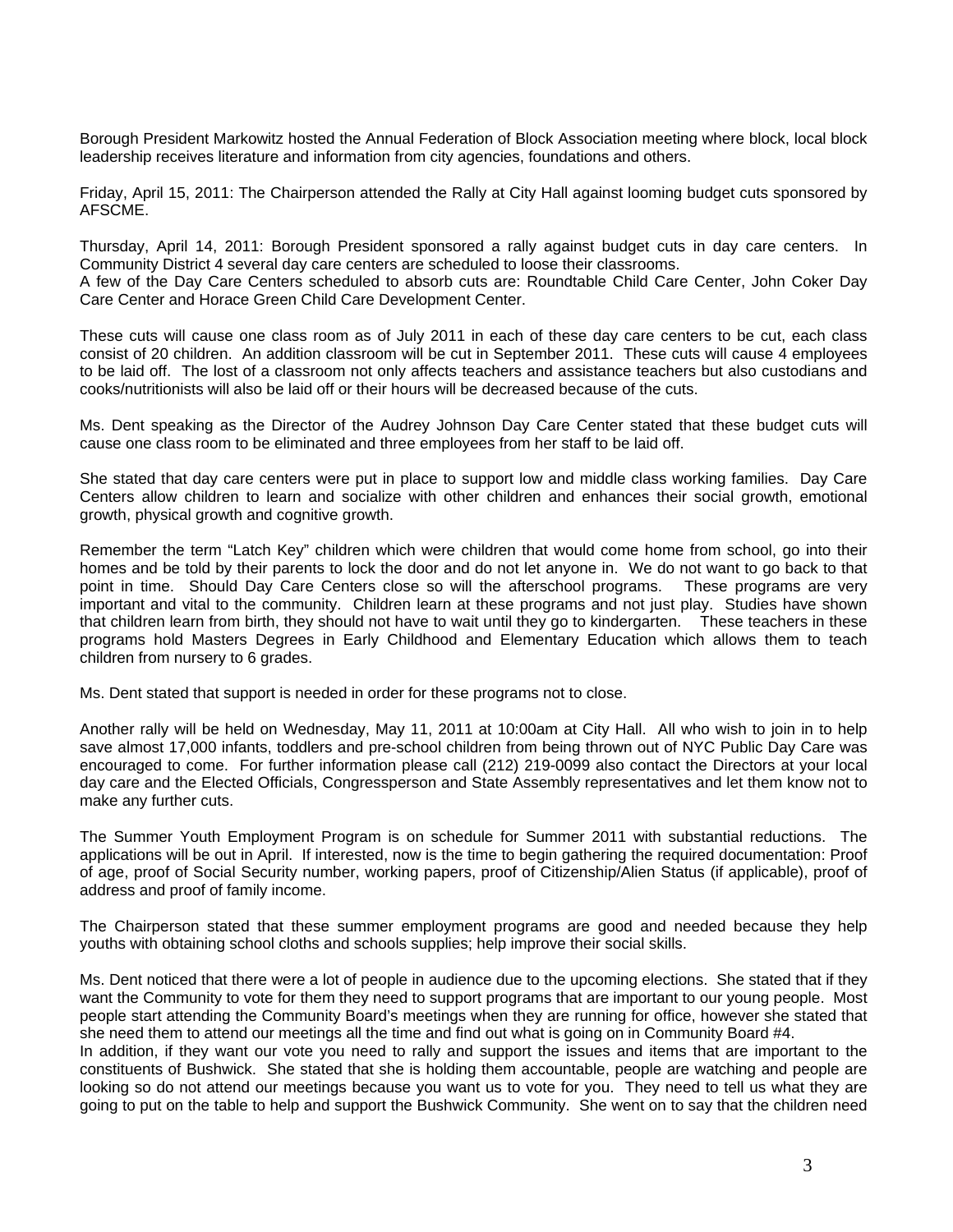Borough President Markowitz hosted the Annual Federation of Block Association meeting where block, local block leadership receives literature and information from city agencies, foundations and others.

Friday, April 15, 2011: The Chairperson attended the Rally at City Hall against looming budget cuts sponsored by AFSCME.

Thursday, April 14, 2011: Borough President sponsored a rally against budget cuts in day care centers. In Community District 4 several day care centers are scheduled to loose their classrooms.

A few of the Day Care Centers scheduled to absorb cuts are: Roundtable Child Care Center, John Coker Day Care Center and Horace Green Child Care Development Center.

These cuts will cause one class room as of July 2011 in each of these day care centers to be cut, each class consist of 20 children. An addition classroom will be cut in September 2011. These cuts will cause 4 employees to be laid off. The lost of a classroom not only affects teachers and assistance teachers but also custodians and cooks/nutritionists will also be laid off or their hours will be decreased because of the cuts.

Ms. Dent speaking as the Director of the Audrey Johnson Day Care Center stated that these budget cuts will cause one class room to be eliminated and three employees from her staff to be laid off.

She stated that day care centers were put in place to support low and middle class working families. Day Care Centers allow children to learn and socialize with other children and enhances their social growth, emotional growth, physical growth and cognitive growth.

Remember the term "Latch Key" children which were children that would come home from school, go into their homes and be told by their parents to lock the door and do not let anyone in. We do not want to go back to that point in time. Should Day Care Centers close so will the afterschool programs. These programs are very important and vital to the community. Children learn at these programs and not just play. Studies have shown that children learn from birth, they should not have to wait until they go to kindergarten. These teachers in these programs hold Masters Degrees in Early Childhood and Elementary Education which allows them to teach children from nursery to 6 grades.

Ms. Dent stated that support is needed in order for these programs not to close.

Another rally will be held on Wednesday, May 11, 2011 at 10:00am at City Hall. All who wish to join in to help save almost 17,000 infants, toddlers and pre-school children from being thrown out of NYC Public Day Care was encouraged to come. For further information please call (212) 219-0099 also contact the Directors at your local day care and the Elected Officials, Congressperson and State Assembly representatives and let them know not to make any further cuts.

The Summer Youth Employment Program is on schedule for Summer 2011 with substantial reductions. The applications will be out in April. If interested, now is the time to begin gathering the required documentation: Proof of age, proof of Social Security number, working papers, proof of Citizenship/Alien Status (if applicable), proof of address and proof of family income.

The Chairperson stated that these summer employment programs are good and needed because they help youths with obtaining school cloths and schools supplies; help improve their social skills.

Ms. Dent noticed that there were a lot of people in audience due to the upcoming elections. She stated that if they want the Community to vote for them they need to support programs that are important to our young people. Most people start attending the Community Board's meetings when they are running for office, however she stated that she need them to attend our meetings all the time and find out what is going on in Community Board #4.

In addition, if they want our vote you need to rally and support the issues and items that are important to the constituents of Bushwick. She stated that she is holding them accountable, people are watching and people are looking so do not attend our meetings because you want us to vote for you. They need to tell us what they are going to put on the table to help and support the Bushwick Community. She went on to say that the children need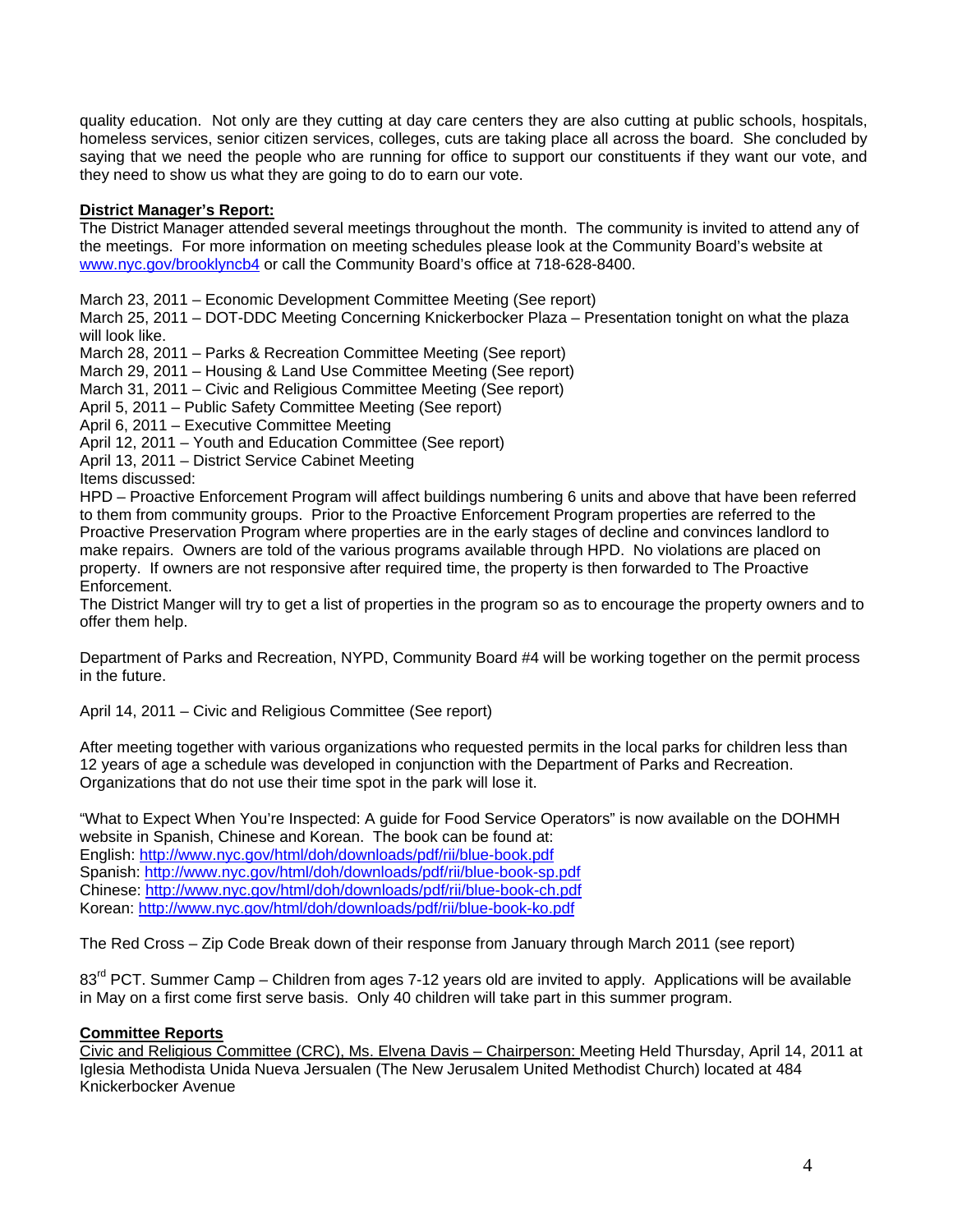quality education. Not only are they cutting at day care centers they are also cutting at public schools, hospitals, homeless services, senior citizen services, colleges, cuts are taking place all across the board. She concluded by saying that we need the people who are running for office to support our constituents if they want our vote, and they need to show us what they are going to do to earn our vote.

# **District Manager's Report:**

The District Manager attended several meetings throughout the month. The community is invited to attend any of the meetings. For more information on meeting schedules please look at the Community Board's website at [www.nyc.gov/brooklyncb4](http://www.nyc.gov/brooklyncb4) or call the Community Board's office at 718-628-8400.

March 23, 2011 – Economic Development Committee Meeting (See report)

March 25, 2011 – DOT-DDC Meeting Concerning Knickerbocker Plaza – Presentation tonight on what the plaza will look like.

March 28, 2011 – Parks & Recreation Committee Meeting (See report)

March 29, 2011 – Housing & Land Use Committee Meeting (See report)

March 31, 2011 – Civic and Religious Committee Meeting (See report)

April 5, 2011 – Public Safety Committee Meeting (See report)

April 6, 2011 – Executive Committee Meeting

April 12, 2011 – Youth and Education Committee (See report)

April 13, 2011 – District Service Cabinet Meeting

Items discussed:

HPD – Proactive Enforcement Program will affect buildings numbering 6 units and above that have been referred to them from community groups. Prior to the Proactive Enforcement Program properties are referred to the Proactive Preservation Program where properties are in the early stages of decline and convinces landlord to make repairs. Owners are told of the various programs available through HPD. No violations are placed on property. If owners are not responsive after required time, the property is then forwarded to The Proactive Enforcement.

The District Manger will try to get a list of properties in the program so as to encourage the property owners and to offer them help.

Department of Parks and Recreation, NYPD, Community Board #4 will be working together on the permit process in the future.

April 14, 2011 – Civic and Religious Committee (See report)

After meeting together with various organizations who requested permits in the local parks for children less than 12 years of age a schedule was developed in conjunction with the Department of Parks and Recreation. Organizations that do not use their time spot in the park will lose it.

"What to Expect When You're Inspected: A guide for Food Service Operators" is now available on the DOHMH website in Spanish, Chinese and Korean. The book can be found at: English: <http://www.nyc.gov/html/doh/downloads/pdf/rii/blue-book.pdf> Spanish:<http://www.nyc.gov/html/doh/downloads/pdf/rii/blue-book-sp.pdf> Chinese: <http://www.nyc.gov/html/doh/downloads/pdf/rii/blue-book-ch.pdf> Korean:<http://www.nyc.gov/html/doh/downloads/pdf/rii/blue-book-ko.pdf>

The Red Cross – Zip Code Break down of their response from January through March 2011 (see report)

83<sup>rd</sup> PCT. Summer Camp – Children from ages 7-12 years old are invited to apply. Applications will be available in May on a first come first serve basis. Only 40 children will take part in this summer program.

# **Committee Reports**

Civic and Religious Committee (CRC), Ms. Elvena Davis – Chairperson: Meeting Held Thursday, April 14, 2011 at Iglesia Methodista Unida Nueva Jersualen (The New Jerusalem United Methodist Church) located at 484 Knickerbocker Avenue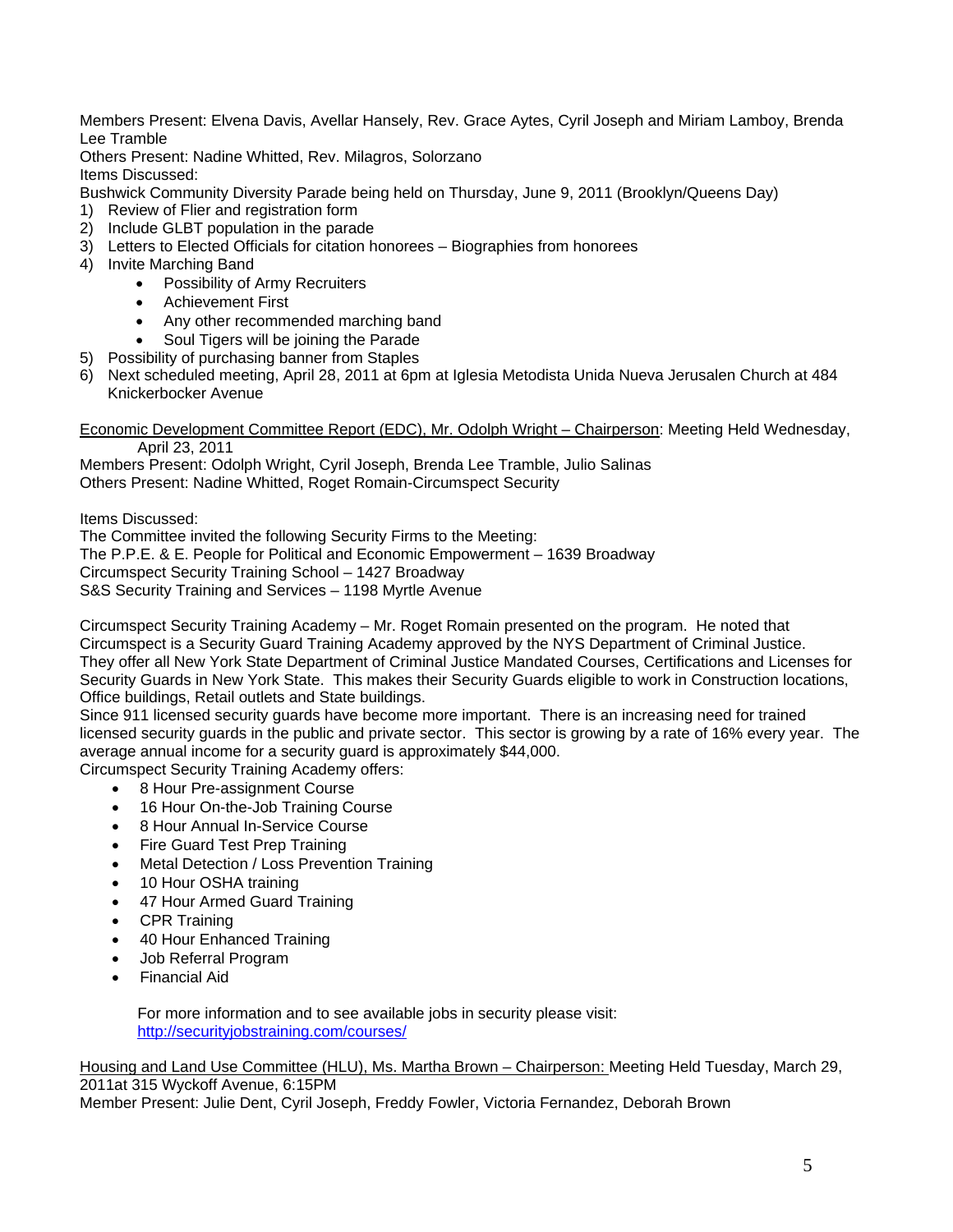Members Present: Elvena Davis, Avellar Hansely, Rev. Grace Aytes, Cyril Joseph and Miriam Lamboy, Brenda Lee Tramble

Others Present: Nadine Whitted, Rev. Milagros, Solorzano Items Discussed:

Bushwick Community Diversity Parade being held on Thursday, June 9, 2011 (Brooklyn/Queens Day)

- 1) Review of Flier and registration form
- 2) Include GLBT population in the parade
- 3) Letters to Elected Officials for citation honorees Biographies from honorees
- 4) Invite Marching Band
	- Possibility of Army Recruiters
	- Achievement First
	- Any other recommended marching band
	- Soul Tigers will be joining the Parade
- 5) Possibility of purchasing banner from Staples
- 6) Next scheduled meeting, April 28, 2011 at 6pm at Iglesia Metodista Unida Nueva Jerusalen Church at 484 Knickerbocker Avenue

Economic Development Committee Report (EDC), Mr. Odolph Wright – Chairperson: Meeting Held Wednesday, April 23, 2011

Members Present: Odolph Wright, Cyril Joseph, Brenda Lee Tramble, Julio Salinas Others Present: Nadine Whitted, Roget Romain-Circumspect Security

Items Discussed:

The Committee invited the following Security Firms to the Meeting: The P.P.E. & E. People for Political and Economic Empowerment – 1639 Broadway Circumspect Security Training School – 1427 Broadway S&S Security Training and Services – 1198 Myrtle Avenue

Circumspect Security Training Academy – Mr. Roget Romain presented on the program. He noted that Circumspect is a Security Guard Training Academy approved by the NYS Department of Criminal Justice. They offer all New York State Department of Criminal Justice Mandated Courses, Certifications and Licenses for Security Guards in New York State. This makes their Security Guards eligible to work in Construction locations, Office buildings, Retail outlets and State buildings.

Since 911 licensed security guards have become more important. There is an increasing need for trained licensed security guards in the public and private sector. This sector is growing by a rate of 16% every year. The average annual income for a security guard is approximately \$44,000.

Circumspect Security Training Academy offers:

- 8 Hour Pre-assignment Course
- 16 Hour On-the-Job Training Course
- 8 Hour Annual In-Service Course
- Fire Guard Test Prep Training
- Metal Detection / Loss Prevention Training
- 10 Hour OSHA training
- 47 Hour Armed Guard Training
- CPR Training
- 40 Hour Enhanced Training
- Job Referral Program
- Financial Aid

For more information and to see available jobs in security please visit: <http://securityjobstraining.com/courses/>

Housing and Land Use Committee (HLU), Ms. Martha Brown – Chairperson: Meeting Held Tuesday, March 29, 2011at 315 Wyckoff Avenue, 6:15PM

Member Present: Julie Dent, Cyril Joseph, Freddy Fowler, Victoria Fernandez, Deborah Brown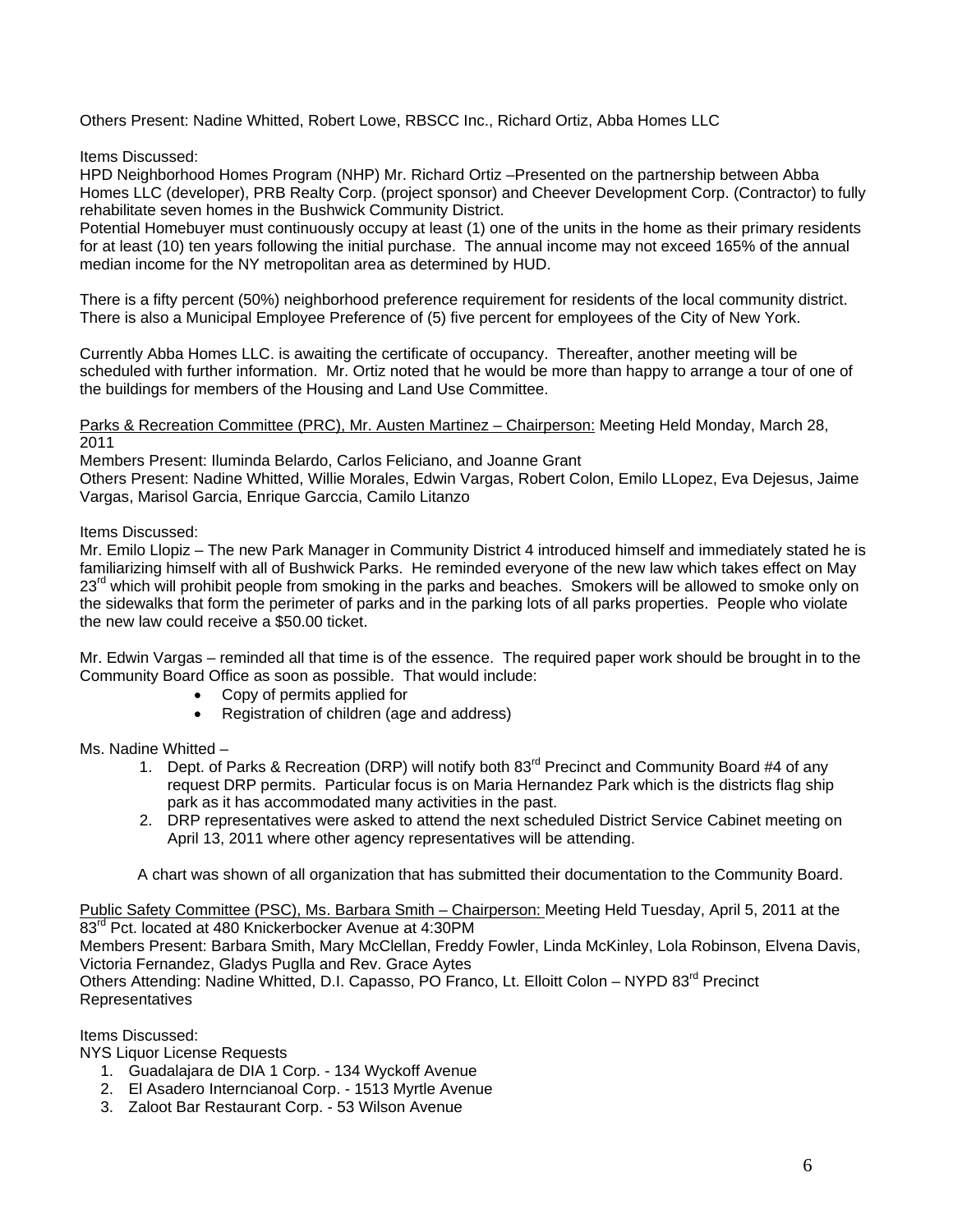Others Present: Nadine Whitted, Robert Lowe, RBSCC Inc., Richard Ortiz, Abba Homes LLC

Items Discussed:

HPD Neighborhood Homes Program (NHP) Mr. Richard Ortiz –Presented on the partnership between Abba Homes LLC (developer), PRB Realty Corp. (project sponsor) and Cheever Development Corp. (Contractor) to fully rehabilitate seven homes in the Bushwick Community District.

Potential Homebuyer must continuously occupy at least (1) one of the units in the home as their primary residents for at least (10) ten years following the initial purchase. The annual income may not exceed 165% of the annual median income for the NY metropolitan area as determined by HUD.

There is a fifty percent (50%) neighborhood preference requirement for residents of the local community district. There is also a Municipal Employee Preference of (5) five percent for employees of the City of New York.

Currently Abba Homes LLC. is awaiting the certificate of occupancy. Thereafter, another meeting will be scheduled with further information. Mr. Ortiz noted that he would be more than happy to arrange a tour of one of the buildings for members of the Housing and Land Use Committee.

Parks & Recreation Committee (PRC), Mr. Austen Martinez – Chairperson: Meeting Held Monday, March 28, 2011

Members Present: Iluminda Belardo, Carlos Feliciano, and Joanne Grant

Others Present: Nadine Whitted, Willie Morales, Edwin Vargas, Robert Colon, Emilo LLopez, Eva Dejesus, Jaime Vargas, Marisol Garcia, Enrique Garccia, Camilo Litanzo

Items Discussed:

Mr. Emilo Llopiz – The new Park Manager in Community District 4 introduced himself and immediately stated he is familiarizing himself with all of Bushwick Parks. He reminded everyone of the new law which takes effect on May 23<sup>rd</sup> which will prohibit people from smoking in the parks and beaches. Smokers will be allowed to smoke only on the sidewalks that form the perimeter of parks and in the parking lots of all parks properties. People who violate the new law could receive a \$50.00 ticket.

Mr. Edwin Vargas – reminded all that time is of the essence. The required paper work should be brought in to the Community Board Office as soon as possible. That would include:

- Copy of permits applied for
- Registration of children (age and address)

Ms. Nadine Whitted –

- 1. Dept. of Parks & Recreation (DRP) will notify both 83<sup>rd</sup> Precinct and Community Board #4 of any request DRP permits. Particular focus is on Maria Hernandez Park which is the districts flag ship park as it has accommodated many activities in the past.
- 2. DRP representatives were asked to attend the next scheduled District Service Cabinet meeting on April 13, 2011 where other agency representatives will be attending.

A chart was shown of all organization that has submitted their documentation to the Community Board.

Public Safety Committee (PSC), Ms. Barbara Smith – Chairperson: Meeting Held Tuesday, April 5, 2011 at the 83<sup>rd</sup> Pct. located at 480 Knickerbocker Avenue at 4:30PM Members Present: Barbara Smith, Mary McClellan, Freddy Fowler, Linda McKinley, Lola Robinson, Elvena Davis,

Victoria Fernandez, Gladys Puglla and Rev. Grace Aytes Others Attending: Nadine Whitted, D.I. Capasso, PO Franco, Lt. Elloitt Colon - NYPD 83<sup>rd</sup> Precinct Representatives

Items Discussed:

NYS Liquor License Requests

- 1. Guadalajara de DIA 1 Corp. 134 Wyckoff Avenue
- 2. El Asadero Interncianoal Corp. 1513 Myrtle Avenue
- 3. Zaloot Bar Restaurant Corp. 53 Wilson Avenue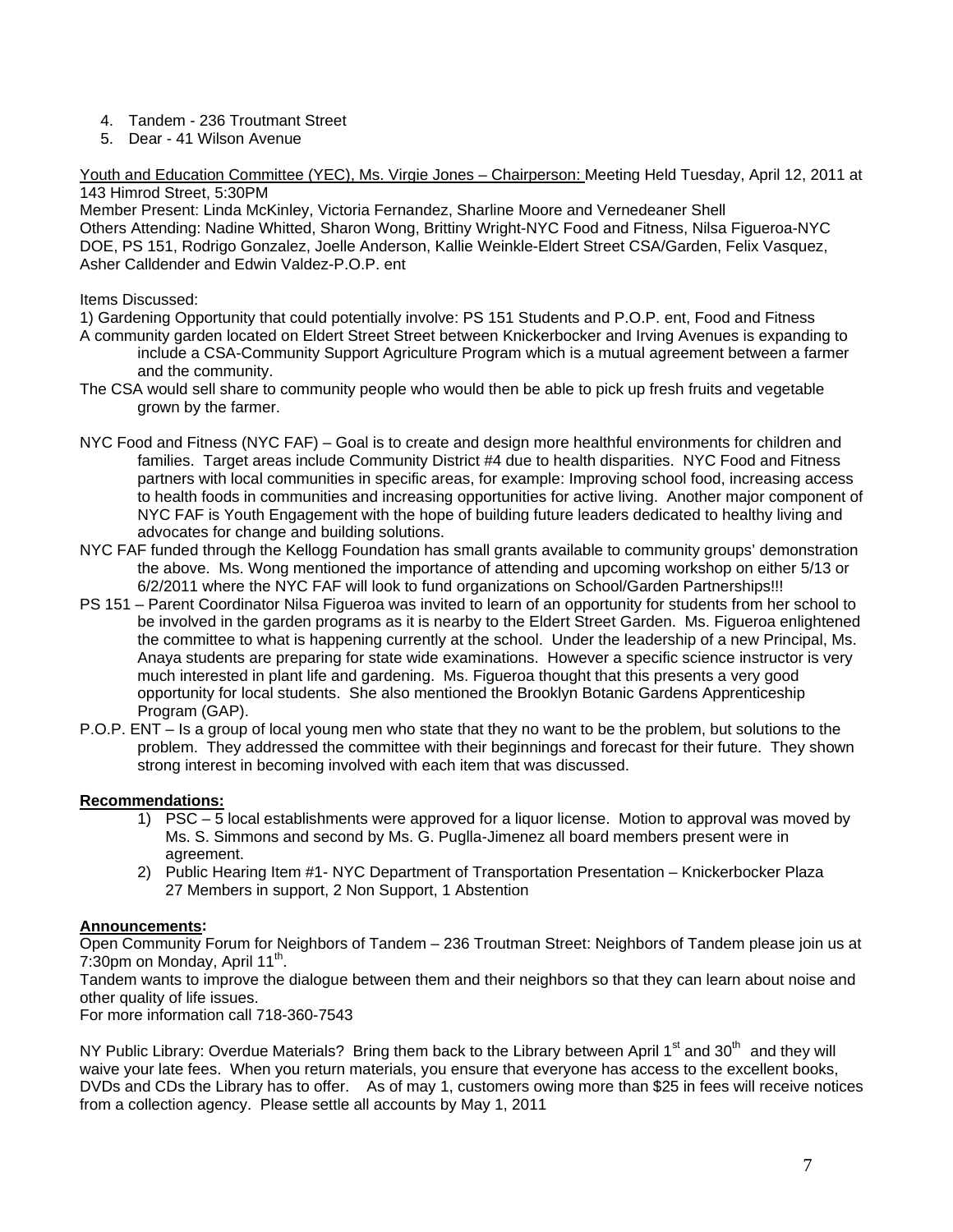- 4. Tandem 236 Troutmant Street
- 5. Dear 41 Wilson Avenue

Youth and Education Committee (YEC), Ms. Virgie Jones – Chairperson: Meeting Held Tuesday, April 12, 2011 at 143 Himrod Street, 5:30PM

Member Present: Linda McKinley, Victoria Fernandez, Sharline Moore and Vernedeaner Shell Others Attending: Nadine Whitted, Sharon Wong, Brittiny Wright-NYC Food and Fitness, Nilsa Figueroa-NYC DOE, PS 151, Rodrigo Gonzalez, Joelle Anderson, Kallie Weinkle-Eldert Street CSA/Garden, Felix Vasquez, Asher Calldender and Edwin Valdez-P.O.P. ent

## Items Discussed:

1) Gardening Opportunity that could potentially involve: PS 151 Students and P.O.P. ent, Food and Fitness

- A community garden located on Eldert Street Street between Knickerbocker and Irving Avenues is expanding to include a CSA-Community Support Agriculture Program which is a mutual agreement between a farmer and the community.
- The CSA would sell share to community people who would then be able to pick up fresh fruits and vegetable grown by the farmer.
- NYC Food and Fitness (NYC FAF) Goal is to create and design more healthful environments for children and families. Target areas include Community District #4 due to health disparities. NYC Food and Fitness partners with local communities in specific areas, for example: Improving school food, increasing access to health foods in communities and increasing opportunities for active living. Another major component of NYC FAF is Youth Engagement with the hope of building future leaders dedicated to healthy living and advocates for change and building solutions.
- NYC FAF funded through the Kellogg Foundation has small grants available to community groups' demonstration the above. Ms. Wong mentioned the importance of attending and upcoming workshop on either 5/13 or 6/2/2011 where the NYC FAF will look to fund organizations on School/Garden Partnerships!!!
- PS 151 Parent Coordinator Nilsa Figueroa was invited to learn of an opportunity for students from her school to be involved in the garden programs as it is nearby to the Eldert Street Garden. Ms. Figueroa enlightened the committee to what is happening currently at the school. Under the leadership of a new Principal, Ms. Anaya students are preparing for state wide examinations. However a specific science instructor is very much interested in plant life and gardening. Ms. Figueroa thought that this presents a very good opportunity for local students. She also mentioned the Brooklyn Botanic Gardens Apprenticeship Program (GAP).
- P.O.P. ENT Is a group of local young men who state that they no want to be the problem, but solutions to the problem. They addressed the committee with their beginnings and forecast for their future. They shown strong interest in becoming involved with each item that was discussed.

# **Recommendations:**

- 1) PSC 5 local establishments were approved for a liquor license. Motion to approval was moved by Ms. S. Simmons and second by Ms. G. Puglla-Jimenez all board members present were in agreement.
- 2) Public Hearing Item #1- NYC Department of Transportation Presentation Knickerbocker Plaza 27 Members in support, 2 Non Support, 1 Abstention

# **Announcements:**

Open Community Forum for Neighbors of Tandem – 236 Troutman Street: Neighbors of Tandem please join us at 7:30pm on Monday, April  $11^{th}$ .

Tandem wants to improve the dialogue between them and their neighbors so that they can learn about noise and other quality of life issues.

For more information call 718-360-7543

NY Public Library: Overdue Materials? Bring them back to the Library between April 1<sup>st</sup> and 30<sup>th</sup> and they will waive your late fees. When you return materials, you ensure that everyone has access to the excellent books, DVDs and CDs the Library has to offer. As of may 1, customers owing more than \$25 in fees will receive notices from a collection agency. Please settle all accounts by May 1, 2011